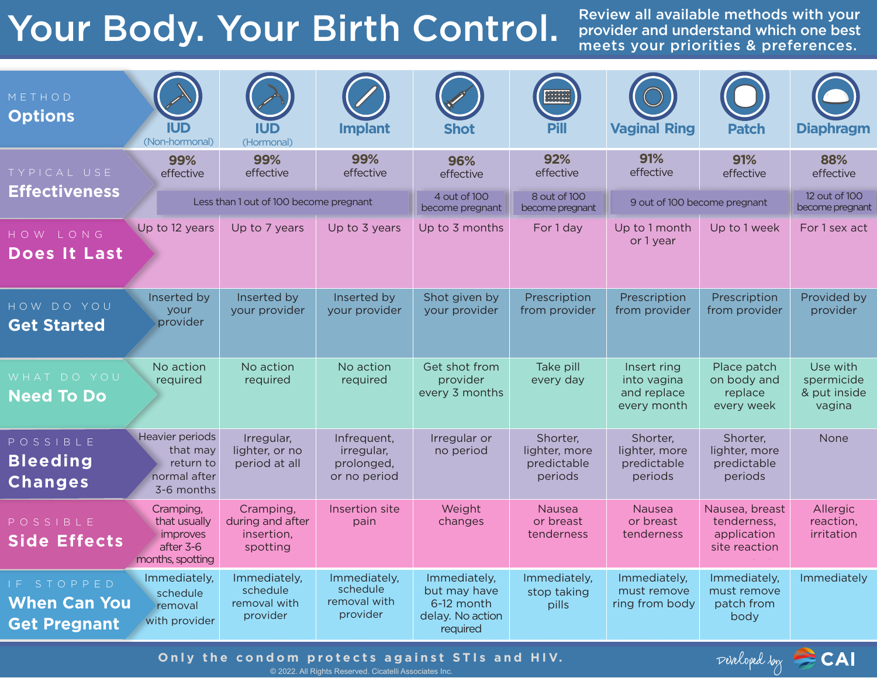## Your Body. Your Birth Control.

Review all available methods with your provider and understand which one best meets your priorities & preferences.

| METHOD<br><b>Options</b>                                                                                                      | <b>IUD</b><br>(Non-hormonal)                                           | <b>IUD</b><br>(Hormonal)                                | <b>Implant</b>                                          | <b>Shot</b>                                                                | 2222223<br>2000000<br><b>Pill</b>                   | <b>Vaginal Ring</b>                                      | <b>Patch</b>                                                  | <b>Diaphragm</b>                                 |
|-------------------------------------------------------------------------------------------------------------------------------|------------------------------------------------------------------------|---------------------------------------------------------|---------------------------------------------------------|----------------------------------------------------------------------------|-----------------------------------------------------|----------------------------------------------------------|---------------------------------------------------------------|--------------------------------------------------|
| TYPICAL USE<br><b>Effectiveness</b>                                                                                           | 99%<br>effective                                                       | 99%<br>effective                                        | 99%<br>effective                                        | 96%<br>effective                                                           | 92%<br>effective                                    | 91%<br>effective                                         | 91%<br>effective                                              | 88%<br>effective                                 |
|                                                                                                                               | Less than 1 out of 100 become pregnant                                 |                                                         |                                                         | 4 out of 100<br>become pregnant                                            | 8 out of 100<br>become pregnant                     | 9 out of 100 become pregnant                             |                                                               | 12 out of 100<br>become pregnant                 |
| HOW LONG<br>Does It Last                                                                                                      | Up to 12 years                                                         | Up to 7 years                                           | Up to 3 years                                           | Up to 3 months                                                             | For 1 day                                           | Up to 1 month<br>or 1 year                               | Up to 1 week                                                  | For 1 sex act                                    |
| HOW DO YOU<br><b>Get Started</b>                                                                                              | Inserted by<br>your<br>provider                                        | Inserted by<br>your provider                            | Inserted by<br>your provider                            | Shot given by<br>your provider                                             | Prescription<br>from provider                       | Prescription<br>from provider                            | Prescription<br>from provider                                 | Provided by<br>provider                          |
| WHAT DO YOU<br><b>Need To Do</b>                                                                                              | No action<br>required                                                  | No action<br>required                                   | No action<br>required                                   | Get shot from<br>provider<br>every 3 months                                | Take pill<br>every day                              | Insert ring<br>into vagina<br>and replace<br>every month | Place patch<br>on body and<br>replace<br>every week           | Use with<br>spermicide<br>& put inside<br>vagina |
| POSSIBLE<br><b>Bleeding</b><br><b>Changes</b>                                                                                 | Heavier periods<br>that may<br>return to<br>normal after<br>3-6 months | Irregular,<br>lighter, or no<br>period at all           | Infrequent,<br>irregular,<br>prolonged,<br>or no period | Irregular or<br>no period                                                  | Shorter,<br>lighter, more<br>predictable<br>periods | Shorter,<br>lighter, more<br>predictable<br>periods      | Shorter,<br>lighter, more<br>predictable<br>periods           | None                                             |
| POSSIBLE<br><b>Side Effects</b>                                                                                               | Cramping,<br>that usually<br>improves<br>after 3-6<br>months, spotting | Cramping,<br>during and after<br>insertion,<br>spotting | Insertion site<br>pain                                  | Weight<br>changes                                                          | <b>Nausea</b><br>or breast<br>tenderness            | Nausea<br>or breast<br>tenderness                        | Nausea, breast<br>tenderness,<br>application<br>site reaction | Allergic<br>reaction,<br>irritation              |
| IF STOPPED<br><b>When Can You</b><br><b>Get Pregnant</b>                                                                      | Immediately,<br>schedule<br>removal<br>with provider                   | Immediately,<br>schedule<br>removal with<br>provider    | Immediately,<br>schedule<br>removal with<br>provider    | Immediately,<br>but may have<br>6-12 month<br>delay. No action<br>required | Immediately,<br>stop taking<br>pills                | Immediately,<br>must remove<br>ring from body            | Immediately,<br>must remove<br>patch from<br>body             | Immediately                                      |
| Pereloped boy CAI<br>Only the condom protects against STIs and HIV.<br>© 2022. All Rights Reserved. Cicatelli Associates Inc. |                                                                        |                                                         |                                                         |                                                                            |                                                     |                                                          |                                                               |                                                  |